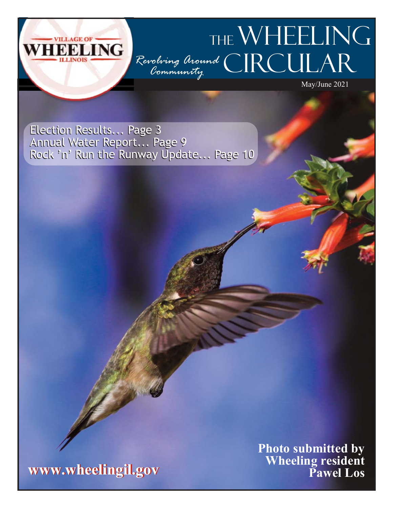## THE WHEELING LING **CIRCULAR** *Revolving Around Community*

May/June 2021

Election Results... Page 3 Election Results... Page 3 Annual Water Report... Page 9 Rock 'n' Run the Runway Update... Page 10 Annual Water Report... Page 9 Rock 'n' Run the Runway Update... Page 10



**Photo submitted by Wheeling resident Pawel Los**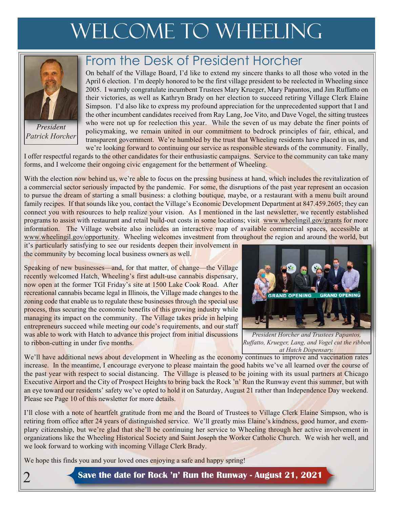# WELCOME TO WHEELING



*President Patrick Horcher*

2

## From the Desk of President Horcher

On behalf of the Village Board, I'd like to extend my sincere thanks to all those who voted in the April 6 election. I'm deeply honored to be the first village president to be reelected in Wheeling since 2005. I warmly congratulate incumbent Trustees Mary Krueger, Mary Papantos, and Jim Ruffatto on their victories, as well as Kathryn Brady on her election to succeed retiring Village Clerk Elaine Simpson. I'd also like to express my profound appreciation for the unprecedented support that I and the other incumbent candidates received from Ray Lang, Joe Vito, and Dave Vogel, the sitting trustees who were not up for reelection this year. While the seven of us may debate the finer points of policymaking, we remain united in our commitment to bedrock principles of fair, ethical, and transparent government. We're humbled by the trust that Wheeling residents have placed in us, and we're looking forward to continuing our service as responsible stewards of the community. Finally,

I offer respectful regards to the other candidates for their enthusiastic campaigns. Service to the community can take many forms, and I welcome their ongoing civic engagement for the betterment of Wheeling.

With the election now behind us, we're able to focus on the pressing business at hand, which includes the revitalization of a commercial sector seriously impacted by the pandemic. For some, the disruptions of the past year represent an occasion to pursue the dream of starting a small business: a clothing boutique, maybe, or a restaurant with a menu built around family recipes. If that sounds like you, contact the Village's Economic Development Department at 847.459.2605; they can connect you with resources to help realize your vision. As I mentioned in the last newsletter, we recently established programs to assist with restaurant and retail build-out costs in some locations; visit www.wheelingil.gov/grants for more information. The Village website also includes an interactive map of available commercial spaces, accessible at www.wheelingil.gov/opportunity. Wheeling welcomes investment from throughout the region and around the world, but

it's particularly satisfying to see our residents deepen their involvement in the community by becoming local business owners as well.

Speaking of new businesses—and, for that matter, of change—the Village recently welcomed Hatch, Wheeling's first adult-use cannabis dispensary, now open at the former TGI Friday's site at 1500 Lake Cook Road. After recreational cannabis became legal in Illinois, the Village made changes to the zoning code that enable us to regulate these businesses through the special use process, thus securing the economic benefits of this growing industry while managing its impact on the community. The Village takes pride in helping entrepreneurs succeed while meeting our code's requirements, and our staff was able to work with Hatch to advance this project from initial discussions to ribbon-cutting in under five months.



*President Horcher and Trustees Papantos, Ruffatto, Krueger, Lang, and Vogel cut the ribbon at Hatch Dispensary.*

We'll have additional news about development in Wheeling as the economy continues to improve and vaccination rates increase. In the meantime, I encourage everyone to please maintain the good habits we've all learned over the course of the past year with respect to social distancing. The Village is pleased to be joining with its usual partners at Chicago Executive Airport and the City of Prospect Heights to bring back the Rock 'n' Run the Runway event this summer, but with an eye toward our residents' safety we've opted to hold it on Saturday, August 21 rather than Independence Day weekend. Please see Page 10 of this newsletter for more details.

I'll close with a note of heartfelt gratitude from me and the Board of Trustees to Village Clerk Elaine Simpson, who is retiring from office after 24 years of distinguished service. We'll greatly miss Elaine's kindness, good humor, and exemplary citizenship, but we're glad that she'll be continuing her service to Wheeling through her active involvement in organizations like the Wheeling Historical Society and Saint Joseph the Worker Catholic Church. We wish her well, and we look forward to working with incoming Village Clerk Brady.

We hope this finds you and your loved ones enjoying a safe and happy spring!

**Save the date for Rock 'n' Run the Runway - August 21, 2021**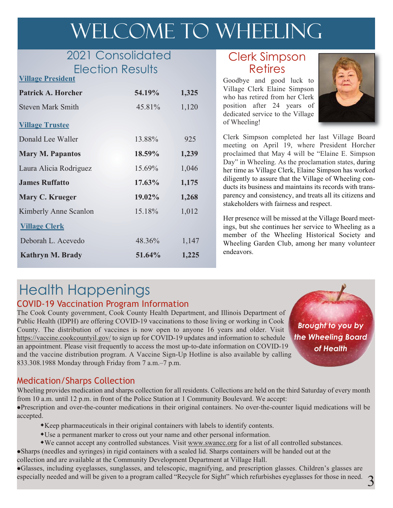# WELCOME TO WHEELING

## 2021 Consolidated Election Results

| EIECTION RESUITS<br><b>Village President</b> |           |       |
|----------------------------------------------|-----------|-------|
| <b>Patrick A. Horcher</b>                    | 54.19%    | 1,325 |
| <b>Steven Mark Smith</b>                     | 45.81%    | 1,120 |
| <b>Village Trustee</b>                       |           |       |
| Donald Lee Waller                            | 13.88%    | 925   |
| <b>Mary M. Papantos</b>                      | 18.59%    | 1,239 |
| Laura Alicia Rodriguez                       | 15.69%    | 1,046 |
| <b>James Ruffatto</b>                        | $17.63\%$ | 1,175 |
| Mary C. Krueger                              | 19.02%    | 1,268 |
| Kimberly Anne Scanlon                        | 15.18%    | 1,012 |
| <b>Village Clerk</b>                         |           |       |
| Deborah L. Acevedo                           | 48.36%    | 1,147 |
| Kathryn M. Brady                             | 51.64%    | 1,225 |
|                                              |           |       |

#### Clerk Simpson Retires

Goodbye and good luck to Village Clerk Elaine Simpson who has retired from her Clerk position after 24 years of dedicated service to the Village of Wheeling!



Clerk Simpson completed her last Village Board meeting on April 19, where President Horcher proclaimed that May 4 will be "Elaine E. Simpson Day" in Wheeling. As the proclamation states, during her time as Village Clerk, Elaine Simpson has worked diligently to assure that the Village of Wheeling conducts its business and maintains its records with transparency and consistency, and treats all its citizens and stakeholders with fairness and respect.

Her presence will be missed at the Village Board meetings, but she continues her service to Wheeling as a member of the Wheeling Historical Society and Wheeling Garden Club, among her many volunteer endeavors.

## Health Happenings

#### COVID-19 Vaccination Program Information

The Cook County government, Cook County Health Department, and Illinois Department of Public Health (IDPH) are offering COVID-19 vaccinations to those living or working in Cook County. The distribution of vaccines is now open to anyone 16 years and older. Visit https://vaccine.cookcountyil.gov/ to sign up for COVID-19 updates and information to schedule an appointment. Please visit frequently to access the most up-to-date information on COVID-19 and the vaccine distribution program. A Vaccine Sign-Up Hotline is also available by calling 833.308.1988 Monday through Friday from 7 a.m.–7 p.m.

*Brought to you by the Wheeling Board of Health*

#### Medication/Sharps Collection

Wheeling provides medication and sharps collection for all residents. Collections are held on the third Saturday of every month from 10 a.m. until 12 p.m. in front of the Police Station at 1 Community Boulevard. We accept:

lPrescription and over-the-counter medications in their original containers. No over-the-counter liquid medications will be accepted.

- wKeep pharmaceuticals in their original containers with labels to identify contents.
- wUse a permanent marker to cross out your name and other personal information.
- wWe cannot accept any controlled substances. Visit www.swancc.org for a list of all controlled substances.

lSharps (needles and syringes) in rigid containers with a sealed lid. Sharps containers will be handed out at the collection and are available at the Community Development Department at Village Hall.

lGlasses, including eyeglasses, sunglasses, and telescopic, magnifying, and prescription glasses. Children's glasses are especially needed and will be given to a program called "Recycle for Sight" which refurbishes eyeglasses for those in need.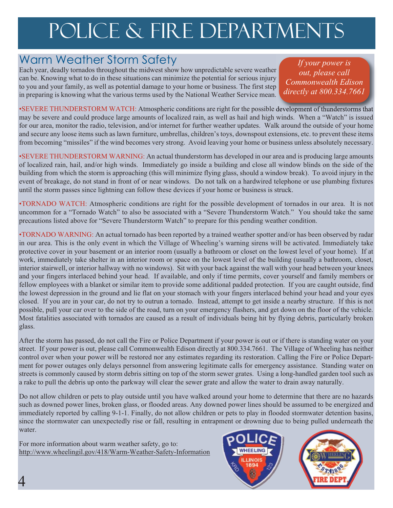# POLICE & FIRE DEPARTMENTS

### Warm Weather Storm Safety

Each year, deadly tornados throughout the midwest show how unpredictable severe weather can be. Knowing what to do in these situations can minimize the potential for serious injury to you and your family, as well as potential damage to your home or business. The first step in preparing is knowing what the various terms used by the National Weather Service mean.

*If your power is out, please call Commonwealth Edison directly at 800.334.7661*

•SEVERE THUNDERSTORM WATCH: Atmospheric conditions are right for the possible development of thunderstorms that may be severe and could produce large amounts of localized rain, as well as hail and high winds. When a "Watch" is issued for our area, monitor the radio, television, and/or internet for further weather updates. Walk around the outside of your home and secure any loose items such as lawn furniture, umbrellas, children's toys, downspout extensions, etc. to prevent these items from becoming "missiles" if the wind becomes very strong. Avoid leaving your home or business unless absolutely necessary.

•SEVERE THUNDERSTORM WARNING: An actual thunderstorm has developed in our area and is producing large amounts of localized rain, hail, and/or high winds. Immediately go inside a building and close all window blinds on the side of the building from which the storm is approaching (this will minimize flying glass, should a window break). To avoid injury in the event of breakage, do not stand in front of or near windows. Do not talk on a hardwired telephone or use plumbing fixtures until the storm passes since lightning can follow these devices if your home or business is struck.

•TORNADO WATCH: Atmospheric conditions are right for the possible development of tornados in our area. It is not uncommon for a "Tornado Watch" to also be associated with a "Severe Thunderstorm Watch." You should take the same precautions listed above for "Severe Thunderstorm Watch" to prepare for this pending weather condition.

•TORNADO WARNING: An actual tornado has been reported by a trained weather spotter and/or has been observed by radar in our area. This is the only event in which the Village of Wheeling's warning sirens will be activated. Immediately take protective cover in your basement or an interior room (usually a bathroom or closet on the lowest level of your home). If at work, immediately take shelter in an interior room or space on the lowest level of the building (usually a bathroom, closet, interior stairwell, or interior hallway with no windows). Sit with your back against the wall with your head between your knees and your fingers interlaced behind your head. If available, and only if time permits, cover yourself and family members or fellow employees with a blanket or similar item to provide some additional padded protection. If you are caught outside, find the lowest depression in the ground and lie flat on your stomach with your fingers interlaced behind your head and your eyes closed. If you are in your car, do not try to outrun a tornado. Instead, attempt to get inside a nearby structure. If this is not possible, pull your car over to the side of the road, turn on your emergency flashers, and get down on the floor of the vehicle. Most fatalities associated with tornados are caused as a result of individuals being hit by flying debris, particularly broken glass.

After the storm has passed, do not call the Fire or Police Department if your power is out or if there is standing water on your street. If your power is out, please call Commonwealth Edison directly at 800.334.7661. The Village of Wheeling has neither control over when your power will be restored nor any estimates regarding its restoration. Calling the Fire or Police Department for power outages only delays personnel from answering legitimate calls for emergency assistance. Standing water on streets is commonly caused by storm debris sitting on top of the storm sewer grates. Using a long-handled garden tool such as a rake to pull the debris up onto the parkway will clear the sewer grate and allow the water to drain away naturally.

Do not allow children or pets to play outside until you have walked around your home to determine that there are no hazards such as downed power lines, broken glass, or flooded areas. Any downed power lines should be assumed to be energized and immediately reported by calling 9-1-1. Finally, do not allow children or pets to play in flooded stormwater detention basins, since the stormwater can unexpectedly rise or fall, resulting in entrapment or drowning due to being pulled underneath the water.

For more information about warm weather safety, go to: http://www.wheelingil.gov/418/Warm-Weather-Safety-Information



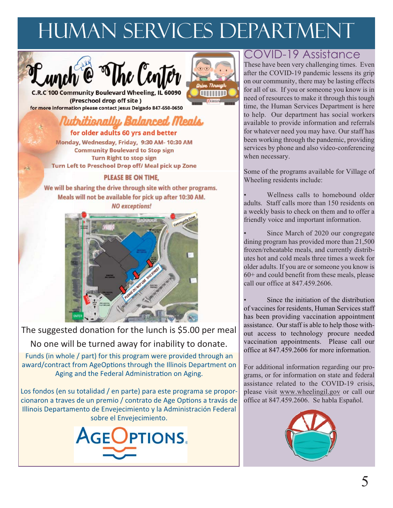# human services department





C.R.C 100 Community Boulevard Wheeling, IL 60090 (Preschool drop off site) for more information please contact Jesus Delgado 847-650-0650

## Nuthitionally Balanced Meals

for older adults 60 yrs and better Monday, Wednesday, Friday, 9:30 AM-10:30 AM **Community Boulevard to Stop sign Turn Right to stop sign** Turn Left to Preschool Drop off/ Meal pick up Zone

#### PLEASE BE ON TIME.

We will be sharing the drive through site with other programs. Meals will not be available for pick up after 10:30 AM. **NO** exceptions!



The suggested donation for the lunch is \$5.00 per meal No one will be turned away for inability to donate.

Funds (in whole / part) for this program were provided through an award/contract from AgeOptions through the Illinois Department on Aging and the Federal Administration on Aging.

Los fondos (en su totalidad / en parte) para este programa se proporcionaron a traves de un premio / contrato de Age Options a travás de Illinois Departamento de Envejecimiento y la Administración Federal sobre el Envejecimiento.



### COVID-19 Assistance

These have been very challenging times. Even after the COVID-19 pandemic lessens its grip on our community, there may be lasting effects for all of us. If you or someone you know is in need of resources to make it through this tough time, the Human Services Department is here to help. Our department has social workers available to provide information and referrals for whatever need you may have. Our staff has been working through the pandemic, providing services by phone and also video-conferencing when necessary.

Some of the programs available for Village of Wheeling residents include:

Wellness calls to homebound older adults. Staff calls more than 150 residents on a weekly basis to check on them and to offer a friendly voice and important information.

Since March of 2020 our congregate dining program has provided more than 21,500 frozen/reheatable meals, and currently distributes hot and cold meals three times a week for older adults. If you are or someone you know is 60+ and could benefit from these meals, please call our office at 847.459.2606.

Since the initiation of the distribution of vaccines for residents, Human Services staff has been providing vaccination appointment assistance. Our staff is able to help those without access to technology procure needed vaccination appointments. Please call our office at 847.459.2606 for more information.

For additional information regarding our programs, or for information on state and federal assistance related to the COVID-19 crisis, please visit www.wheelingil.gov or call our office at 847.459.2606. Se habla Español.

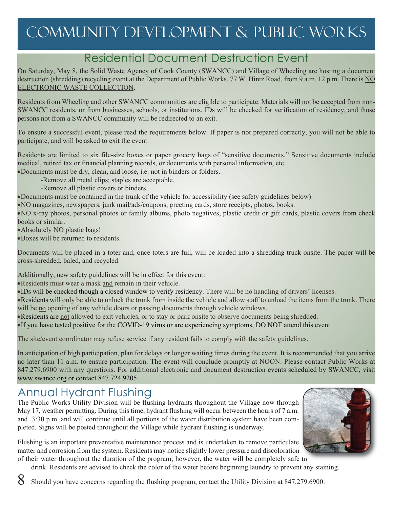## community development & public works

### Residential Document Destruction Event

On Saturday, May 8, the Solid Waste Agency of Cook County (SWANCC) and Village of Wheeling are hosting a document destruction (shredding) recycling event at the Department of Public Works, 77 W. Hintz Road, from 9 a.m. 12 p.m. There is NO ELECTRONIC WASTE COLLECTION.

Residents from Wheeling and other SWANCC communities are eligible to participate. Materials will not be accepted from non-SWANCC residents, or from businesses, schools, or institutions. IDs will be checked for verification of residency, and those persons not from a SWANCC community will be redirected to an exit.

To ensure a successful event, please read the requirements below. If paper is not prepared correctly, you will not be able to participate, and will be asked to exit the event.

Residents are limited to six file-size boxes or paper grocery bags of "sensitive documents." Sensitive documents include medical, retired tax or financial planning records, or documents with personal information, etc.

·Documents must be dry, clean, and loose, i.e. not in binders or folders.

-Remove all metal clips; staples are acceptable.

-Remove all plastic covers or binders.

·Documents must be contained in the trunk of the vehicle for accessibility (see safety guidelines below).

·NO magazines, newspapers, junk mail/ads/coupons, greeting cards, store receipts, photos, books.

·NO x-ray photos, personal photos or family albums, photo negatives, plastic credit or gift cards, plastic covers from check books or similar.

·Absolutely NO plastic bags!

·Boxes will be returned to residents.

Documents will be placed in a toter and, once toters are full, will be loaded into a shredding truck onsite. The paper will be cross-shredded, baled, and recycled.

Additionally, new safety guidelines will be in effect for this event:

·Residents must wear a mask and remain in their vehicle.

·IDs will be checked though a closed window to verify residency. There will be no handling of drivers' licenses.

·Residents will only be able to unlock the trunk from inside the vehicle and allow staff to unload the items from the trunk. There will be no opening of any vehicle doors or passing documents through vehicle windows.

·Residents are not allowed to exit vehicles, or to stay or park onsite to observe documents being shredded.

·If you have tested positive for the COVID-19 virus or are experiencing symptoms, DO NOT attend this event.

The site/event coordinator may refuse service if any resident fails to comply with the safety guidelines.

In anticipation of high participation, plan for delays or longer waiting times during the event. It is recommended that you arrive no later than 11 a.m. to ensure participation. The event will conclude promptly at NOON. Please contact Public Works at 847.279.6900 with any questions. For additional electronic and document destruction events scheduled by SWANCC, visit www.swancc.org or contact 847.724.9205.

## Annual Hydrant Flushing

The Public Works Utility Division will be flushing hydrants throughout the Village now through May 17, weather permitting. During this time, hydrant flushing will occur between the hours of 7 a.m. and 3:30 p.m. and will continue until all portions of the water distribution system have been completed. Signs will be posted throughout the Village while hydrant flushing is underway.



Flushing is an important preventative maintenance process and is undertaken to remove particulate matter and corrosion from the system. Residents may notice slightly lower pressure and discoloration of their water throughout the duration of the program; however, the water will be completely safe to

drink. Residents are advised to check the color of the water before beginning laundry to prevent any staining.

8 Should you have concerns regarding the flushing program, contact the Utility Division at 847.279.6900.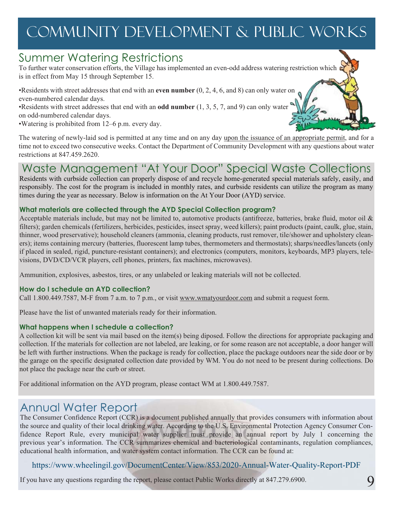## community development & public works

## Summer Watering Restrictions

To further water conservation efforts, the Village has implemented an even-odd address watering restriction which is in effect from May 15 through September 15.

•Residents with street addresses that end with an **even number** (0, 2, 4, 6, and 8) can only water on even-numbered calendar days.

•Residents with street addresses that end with an **odd number** (1, 3, 5, 7, and 9) can only water on odd-numbered calendar days.

•Watering is prohibited from 12–6 p.m. every day.

The watering of newly-laid sod is permitted at any time and on any day upon the issuance of an appropriate permit, and for a time not to exceed two consecutive weeks. Contact the Department of Community Development with any questions about water restrictions at 847.459.2620.

## Waste Management "At Your Door" Special Waste Collections

Residents with curbside collection can properly dispose of and recycle home-generated special materials safely, easily, and responsibly. The cost for the program is included in monthly rates, and curbside residents can utilize the program as many times during the year as necessary. Below is information on the At Your Door (AYD) service.

#### **What materials are collected through the AYD Special Collection program?**

Acceptable materials include, but may not be limited to, automotive products (antifreeze, batteries, brake fluid, motor oil & filters); garden chemicals (fertilizers, herbicides, pesticides, insect spray, weed killers); paint products (paint, caulk, glue, stain, thinner, wood preservative); household cleaners (ammonia, cleaning products, rust remover, tile/shower and upholstery cleaners); items containing mercury (batteries, fluorescent lamp tubes, thermometers and thermostats); sharps/needles/lancets (only if placed in sealed, rigid, puncture-resistant containers); and electronics (computers, monitors, keyboards, MP3 players, televisions, DVD/CD/VCR players, cell phones, printers, fax machines, microwaves).

Ammunition, explosives, asbestos, tires, or any unlabeled or leaking materials will not be collected.

#### **How do I schedule an AYD collection?**

Call 1.800.449.7587, M-F from 7 a.m. to 7 p.m., or visit www.wmatyourdoor.com and submit a request form.

Please have the list of unwanted materials ready for their information.

#### **What happens when I schedule a collection?**

A collection kit will be sent via mail based on the item(s) being diposed. Follow the directions for appropriate packaging and collection. If the materials for collection are not labeled, are leaking, or for some reason are not acceptable, a door hanger will be left with further instructions. When the package is ready for collection, place the package outdoors near the side door or by the garage on the specific designated collection date provided by WM. You do not need to be present during collections. Do not place the package near the curb or street.

For additional information on the AYD program, please contact WM at 1.800.449.7587.

## Annual Water Report

The Consumer Confidence Report (CCR) is a document published annually that provides consumers with information about the source and quality of their local drinking water. According to the U.S. Environmental Protection Agency Consumer Confidence Report Rule, every municipal water supplier must provide an annual report by July 1 concerning the previous year's information. The CCR summarizes chemical and bacteriological contaminants, regulation compliances, educational health information, and water system contact information. The CCR can be found at:

#### https://www.wheelingil.gov/DocumentCenter/View/853/2020-Annual-Water-Quality-Report-PDF

If you have any questions regarding the report, please contact Public Works directly at 847.279.6900.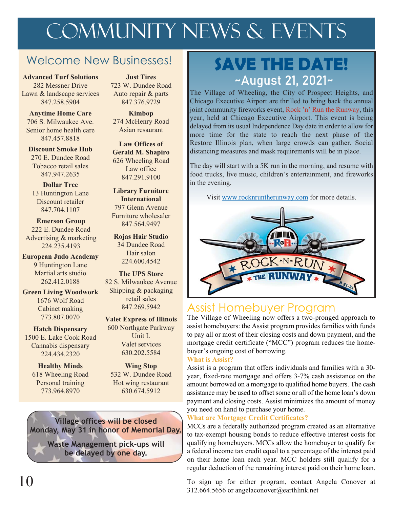# COMMUNITY NEWS & EVENTS

### Welcome New Businesses!

282 Messner Drive Lawn & landscape services 847.258.5904

**Anytime Home Care** 706 S. Milwaukee Ave. Senior home health care 847.457.8818

**Discount Smoke Hub** 270 E. Dundee Road Tobacco retail sales 847.947.2635

**Dollar Tree** 13 Huntington Lane Discount retailer 847.704.1107

**Emerson Group** 847.564.9497 222 E. Dundee Road Advertising & marketing 224.235.4193

**European Judo Academy** Figure 1224 600 4542 9 Huntington Lane Martial arts studio 262.412.0188

**Green Living Woodwork**

1676 Wolf Road Cabinet making

**Hatch Dispensary** 1500 E. Lake Cook Road Cannabis dispensary 224.434.2320

**Healthy Minds** 618 Wheeling Road Personal training 773.964.8970

**Just Tires** 723 W. Dundee Road Auto repair & parts

**Kimbop** 274 McHenry Road Asian resaurant

847.376.9729

**Law Offices of Gerald M. Shapiro**  626 Wheeling Road Law office 847.291.9100

**Library Furniture International** 797 Glenn Avenue Furniture wholesaler

**Rojas Hair Studio** 34 Dundee Road Hair salon

**The UPS Store** 82 S. Milwaukee Avenue Shipping & packaging retail sales 847.269.5942

773.807.0070 **Valet Express of Illinois** 600 Northgate Parkway Unit L Valet services 630.202.5584

> **Wing Stop** 532 W. Dundee Road Hot wing restaurant 630.674.5912

**Village offices will be closed Monday, May 31 in honor of Memorial Day.** 

> **Waste Management pick-ups will be delayed by one day.**

## **SAVE THE DATE!**  Advanced Turf Solutions Just Tires<br>
282 Messner Drive 723 W Dundee Pood

The Village of Wheeling, the City of Prospect Heights, and Chicago Executive Airport are thrilled to bring back the annual joint community fireworks event, Rock 'n' Run the Runway, this year, held at Chicago Executive Airport. This event is being delayed from its usual Independence Day date in order to allow for more time for the state to reach the next phase of the Restore Illinois plan, when large crowds can gather. Social distancing measures and mask requirements will be in place.

The day will start with a 5K run in the morning, and resume with food trucks, live music, children's entertainment, and fireworks in the evening.

Visit www.rocknruntherunway.com for more details.



### Assist Homebuyer Program

The Village of Wheeling now offers a two-pronged approach to assist homebuyers: the Assist program provides families with funds to pay all or most of their closing costs and down payment, and the mortgage credit certificate ("MCC") program reduces the homebuyer's ongoing cost of borrowing.

#### **What is Assist?**

Assist is a program that offers individuals and families with a 30 year, fixed-rate mortgage and offers 3-7% cash assistance on the amount borrowed on a mortgage to qualified home buyers. The cash assistance may be used to offset some or all of the home loan's down payment and closing costs. Assist minimizes the amount of money you need on hand to purchase your home.

#### **What are Mortgage Credit Certificates?**

MCCs are a federally authorized program created as an alternative to tax-exempt housing bonds to reduce effective interest costs for qualifying homebuyers. MCCs allow the homebuyer to qualify for a federal income tax credit equal to a percentage of the interest paid on their home loan each year. MCC holders still qualify for a regular deduction of the remaining interest paid on their home loan.

To sign up for either program, contact Angela Conover at 312.664.5656 or angelaconover@earthlink.net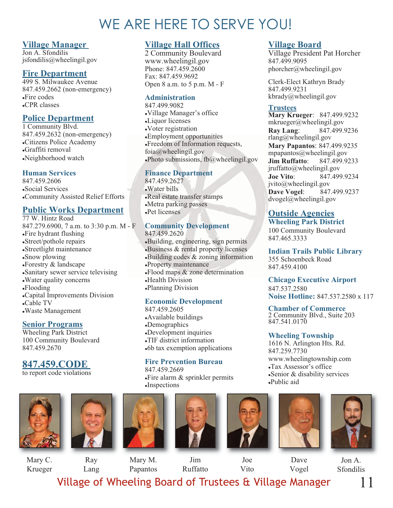## WE ARE HERE TO SERVE YOU!

**Village Hall Offices** 2 Community Boulevard www.wheelingil.gov Phone: 847.459.2600 Fax: 847.459.9692

Open 8 a.m. to 5 p.m. M - F

<sup>l</sup>Village Manager's office

<sup>l</sup>Employment opportunities <sup>l</sup>Freedom of Information requests,

. Photo submissions,  $f_b(\hat{a})$  wheelingil.gov

foia@wheelingil.gov

**Finance Department**

Real estate transfer stamps <sup>l</sup>Metra parking passes

**Community Development** 

<sup>l</sup>Property maintenance

**Economic Development**

<sup>l</sup>Development inquiries •TIF district information •6b tax exemption applications

**Health Division** <sup>l</sup>Planning Division

847.459.2605 <sup>l</sup>Available buildings •Demographics

**Building, engineering, sign permits**  $\bullet$ Business  $\&$  rental property licenses  $\bullet$ Building codes  $\&$  zoning information

 $\cdot$ Flood maps  $\&$  zone determination

**Administration** 847.499.9082

•Liquor licenses <sup>l</sup>Voter registration

847.459.2627 <sup>l</sup>Water bills

Pet licenses

847.459.2620

#### **Village Manager**

Jon A. Sfondilis jsfondilis@wheelingil.gov

#### **Fire Department**

499 S. Milwaukee Avenue 847.459.2662 (non-emergency) <sup>l</sup>Fire codes •CPR classes

#### **Police Department**

1 Community Blvd. 847.459.2632 (non-emergency) •Citizens Police Academy <sup>l</sup>Graffiti removal <sup>l</sup>Neighborhood watch

#### **Human Services**

847.459.2606 <sup>l</sup>Social Services <sup>l</sup>Community Assisted Relief Efforts

#### **Public Works Department**

77 W. Hintz Road 847.279.6900, 7 a.m. to 3:30 p.m. M - F •Fire hydrant flushing •Street/pothole repairs •Streetlight maintenance •Snow plowing <sup>l</sup>Forestry & landscape <sup>l</sup>Sanitary sewer service televising <sup>l</sup>Water quality concerns  $\cdot$ Flooding <sup>l</sup>Capital Improvements Division <sup>l</sup>Cable TV

<sup>l</sup>Waste Management

#### **Senior Programs**

Wheeling Park District 100 Community Boulevard 847.459.2670

#### **847.459.CODE**

to report code violations















Dave Vogel



11

Mary C. Krueger

Ray Lang

Mary M. Papantos

Joe Vito

Jon A. Sfondilis

Jim Ruffatto

Village of Wheeling Board of Trustees & Village Manager

#### **Village Board**

Village President Pat Horcher 847.499.9095 phorcher@wheelingil.gov

Clerk-Elect Kathryn Brady 847.499.9231 kbrady@wheelingil.gov

#### **Trustees**

**Mary Krueger**:  847.499.9232 mkrueger@wheelingil.gov **Ray Lang**: 847.499.9236 rlang@wheelingil.gov **Mary Papantos**: 847.499.9235 mpapantos@wheelingil.gov **Jim Ruffatto**: 847.499.9233 jruffatto@wheelingil.gov **Joe Vito**: 847.499.9234 jvito@wheelingil.gov **Dave Vogel**: 847.499.9237 dvogel@wheelingil.gov

#### **Outside Agencies**

**Wheeling Park District** 100 Community Boulevard 847.465.3333

**Indian Trails Public Library** 355 Schoenbeck Road 847.459.4100

**Chicago Executive Airport** 847.537.2580 **Noise Hotline:** 847.537.2580 x 117

**Chamber of Commerce** 2 Community Blvd., Suite 203 847.541.0170

#### **Wheeling Township**

1616 N. Arlington Hts. Rd. 847.259.7730 www.wheelingtownship.com <sup>l</sup>Tax Assessor's office  $\bullet$ Senior & disability services <sup>l</sup>Public aid